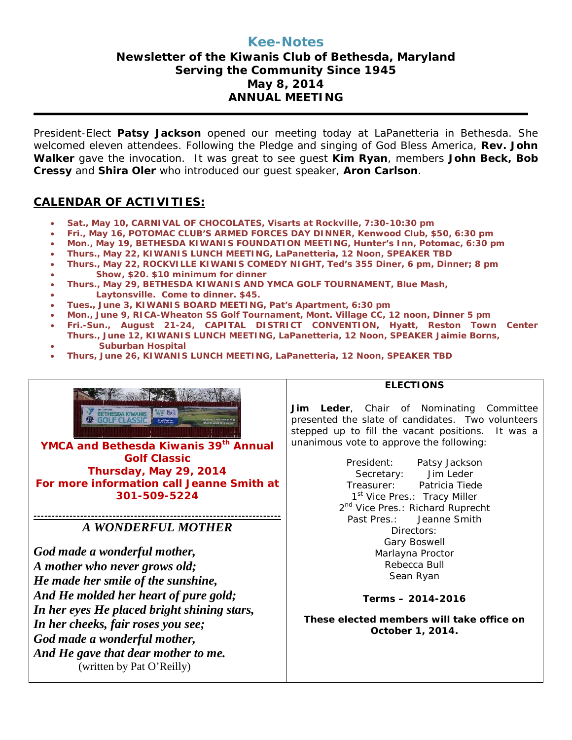# **Kee-Notes**

# **Newsletter of the Kiwanis Club of Bethesda, Maryland Serving the Community Since 1945 May 8, 2014 ANNUAL MEETING**

President-Elect **Patsy Jackson** opened our meeting today at LaPanetteria in Bethesda. She welcomed eleven attendees. Following the Pledge and singing of God Bless America, **Rev. John Walker** gave the invocation. It was great to see guest **Kim Ryan**, members **John Beck, Bob Cressy** and **Shira Oler** who introduced our guest speaker, **Aron Carlson**.

### **CALENDAR OF ACTIVITIES:**

- **Sat., May 10, CARNIVAL OF CHOCOLATES, Visarts at Rockville, 7:30-10:30 pm**
- **Fri., May 16, POTOMAC CLUB'S ARMED FORCES DAY DINNER, Kenwood Club, \$50, 6:30 pm**
- **Mon., May 19, BETHESDA KIWANIS FOUNDATION MEETING, Hunter's Inn, Potomac, 6:30 pm**
- **Thurs., May 22, KIWANIS LUNCH MEETING, LaPanetteria, 12 Noon, SPEAKER TBD**
- **Thurs., May 22, ROCKVILLE KIWANIS COMEDY NIGHT, Ted's 355 Diner, 6 pm, Dinner; 8 pm**
- • **Show, \$20. \$10 minimum for dinner**
- **Thurs., May 29, BETHESDA KIWANIS AND YMCA GOLF TOURNAMENT, Blue Mash,**
- • **Laytonsville. Come to dinner. \$45.**
- **Tues., June 3, KIWANIS BOARD MEETING, Pat's Apartment, 6:30 pm**
- **Mon., June 9, RICA-Wheaton SS Golf Tournament, Mont. Village CC, 12 noon, Dinner 5 pm**
- **Fri.-Sun., August 21-24, CAPITAL DISTRICT CONVENTION, Hyatt, Reston Town Center Thurs., June 12, KIWANIS LUNCH MEETING, LaPanetteria, 12 Noon, SPEAKER Jaimie Borns,**
- • **Suburban Hospital**
- **Thurs, June 26, KIWANIS LUNCH MEETING, LaPanetteria, 12 Noon, SPEAKER TBD**



YMCA and Bethesda Kiwanis 39th Annual **Golf Classic Thursday, May 29, 2014 For more information call Jeanne Smith at 301-509-5224**

#### **---------------------------------------------------------------------** *A WONDERFUL MOTHER*

*God made a wonderful mother, A mother who never grows old; He made her smile of the sunshine, And He molded her heart of pure gold; In her eyes He placed bright shining stars, In her cheeks, fair roses you see; God made a wonderful mother, And He gave that dear mother to me.* (written by Pat O'Reilly)

#### **ELECTIONS**

**Jim Leder**, Chair of Nominating Committee presented the slate of candidates. Two volunteers stepped up to fill the vacant positions. It was a unanimous vote to approve the following:

> President: Patsy Jackson Secretary: Jim Leder Treasurer: Patricia Tiede 1<sup>st</sup> Vice Pres.: Tracy Miller 2<sup>nd</sup> Vice Pres.: Richard Ruprecht Past Pres.: Jeanne Smith Directors: Gary Boswell Marlayna Proctor Rebecca Bull Sean Ryan

#### **Terms – 2014-2016**

**These elected members will take office on October 1, 2014.**